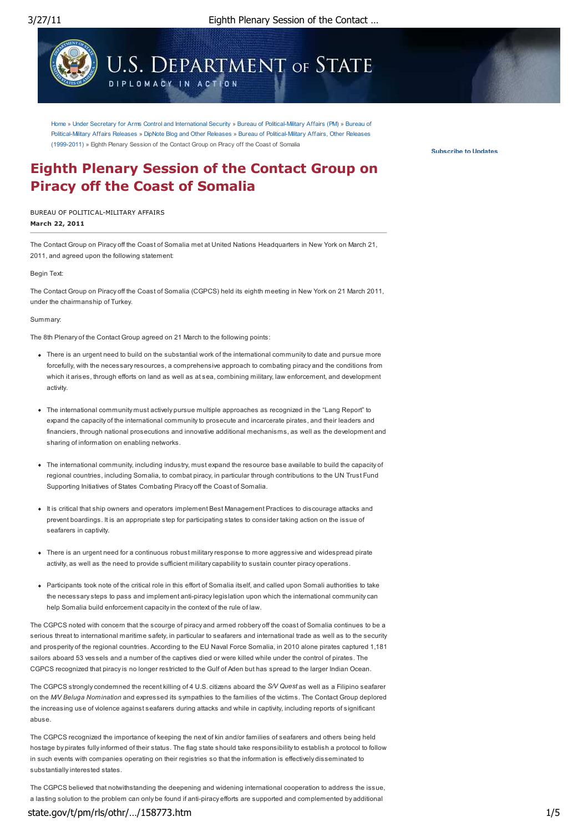

Home » Under Secretary for Arms Control and International Security » Bureau of Political-Military Affairs (PM) » Bureau of Political-Military Affairs Releases » DipNote Blog and Other Releases » Bureau of Political-Military Affairs, Other Releases (1999-2011) » Eighth Plenary Session of the Contact Group on Piracy off the Coast of Somalia

**Subscribe to Updates**

# **Eighth Plenary Session of the Contact Group on Piracy off the Coast of Somalia**

**March 22, 2011** BUREAU OF POLITICAL-MILITARY AFFAIRS

The Contact Group on Piracy off the Coast of Somalia met at United Nations Headquarters in New York on March 21, 2011, and agreed upon the following statement:

Begin Text:

The Contact Group on Piracy off the Coast of Somalia (CGPCS) held its eighth meeting in New York on 21 March 2011, under the chairmanship of Turkey.

Summary:

The 8th Plenary of the Contact Group agreed on 21 March to the following points:

- There is an urgent need to build on the substantial work of the international community to date and pursue more forcefully, with the necessary resources, a comprehensive approach to combating piracy and the conditions from which it arises, through efforts on land as well as at sea, combining military, law enforcement, and development activity.
- The international community must actively pursue multiple approaches as recognized in the "Lang Report" to expand the capacity of the international community to prosecute and incarcerate pirates, and their leaders and financiers, through national prosecutions and innovative additional mechanisms, as well as the development and sharing of information on enabling networks.
- The international community, including industry, must expand the resource base available to build the capacity of regional countries, including Somalia, to combat piracy, in particular through contributions to the UN Trust Fund Supporting Initiatives of States Combating Piracy off the Coast of Somalia.
- It is critical that ship owners and operators implement Best Management Practices to discourage attacks and prevent boardings. It is an appropriate step for participating states to consider taking action on the issue of seafarers in captivity.
- There is an urgent need for a continuous robust military response to more aggressive and widespread pirate activity, as well as the need to provide sufficient military capability to sustain counter piracy operations.
- Participants took note of the critical role in this effort of Somalia itself, and called upon Somali authorities to take the necessary steps to pass and implement anti-piracy legislation upon which the international community can help Somalia build enforcement capacity in the context of the rule of law.

The CGPCS noted with concern that the scourge of piracy and armed robbery off the coast of Somalia continues to be a serious threat to international maritime safety, in particular to seafarers and international trade as well as to the security and prosperity of the regional countries. According to the EU Naval Force Somalia, in 2010 alone pirates captured 1,181 sailors aboard 53 vessels and a number of the captives died or were killed while under the control of pirates. The CGPCS recognized that piracy is no longer restricted to the Gulf of Aden but has spread to the larger Indian Ocean.

The CGPCS strongly condemned the recent killing of 4 U.S. citizens aboard the *S/V Quest* as well as a Filipino seafarer on the *M/V Beluga Nomination* and expressed its sympathies to the families of the victims. The Contact Group deplored the increasing use of violence against seafarers during attacks and while in captivity, including reports of significant abuse.

The CGPCS recognized the importance of keeping the next of kin and/or families of seafarers and others being held hostage by pirates fully informed of their status. The flag state should take responsibility to establish a protocol to follow in such events with companies operating on their registries so that the information is effectively disseminated to substantially interested states.

The CGPCS believed that notwithstanding the deepening and widening international cooperation to address the issue, a lasting solution to the problem can only be found if anti-piracy efforts are supported and complemented by additional state.gov/t/pm/rls/othr/…/158773.htm 1/5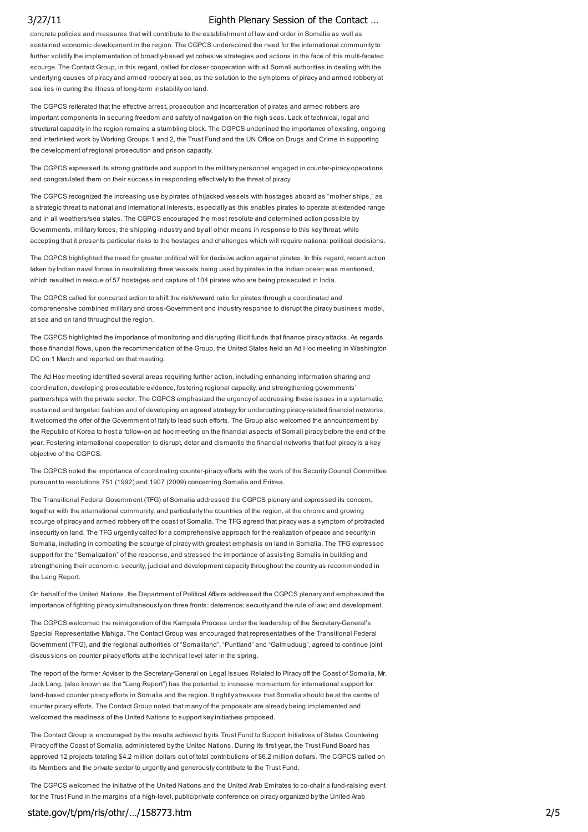concrete policies and measures that will contribute to the establishment of law and order in Somalia as well as sustained economic development in the region. The CGPCS underscored the need for the international community to further solidify the implementation of broadly-based yet cohesive strategies and actions in the face of this multi-faceted scourge. The Contact Group, in this regard, called for closer cooperation with all Somali authorities in dealing with the underlying causes of piracy and armed robbery at sea, as the solution to the symptoms of piracy and armed robbery at sea lies in curing the illness of long-term instability on land.

The CGPCS reiterated that the effective arrest, prosecution and incarceration of pirates and armed robbers are important components in securing freedom and safety of navigation on the high seas. Lack of technical, legal and structural capacity in the region remains a stumbling block. The CGPCS underlined the importance of existing, ongoing and interlinked work by Working Groups 1 and 2, the Trust Fund and the UN Office on Drugs and Crime in supporting the development of regional prosecution and prison capacity.

The CGPCS expressed its strong gratitude and support to the military personnel engaged in counter-piracy operations and congratulated them on their success in responding effectively to the threat of piracy.

The CGPCS recognized the increasing use by pirates of hijacked vessels with hostages aboard as "mother ships," as a strategic threat to national and international interests, especially as this enables pirates to operate at extended range and in all weathers/sea states. The CGPCS encouraged the most resolute and determined action possible by Governments, military forces, the shipping industry and by all other means in response to this key threat, while accepting that it presents particular risks to the hostages and challenges which will require national political decisions.

The CGPCS highlighted the need for greater political will for decisive action against pirates. In this regard, recent action taken by Indian naval forces in neutralizing three vessels being used by pirates in the Indian ocean was mentioned, which resulted in rescue of 57 hostages and capture of 104 pirates who are being prosecuted in India.

The CGPCS called for concerted action to shift the risk/reward ratio for pirates through a coordinated and comprehensive combined military and cross-Government and industry response to disrupt the piracy business model, at sea and on land throughout the region.

The CGPCS highlighted the importance of monitoring and disrupting illicit funds that finance piracy attacks. As regards those financial flows, upon the recommendation of the Group, the United States held an Ad Hoc meeting in Washington DC on 1 March and reported on that meeting.

The Ad Hoc meeting identified several areas requiring further action, including enhancing information sharing and coordination, developing prosecutable evidence, fostering regional capacity, and strengthening governments' partnerships with the private sector. The CGPCS emphasized the urgency of addressing these issues in a systematic, sustained and targeted fashion and of developing an agreed strategy for undercutting piracy-related financial networks. It welcomed the offer of the Government of Italy to lead such efforts. The Group also welcomed the announcement by the Republic of Korea to host a follow-on ad hoc meeting on the financial aspects of Somali piracy before the end of the year. Fostering international cooperation to disrupt, deter and dismantle the financial networks that fuel piracy is a key objective of the CGPCS.

The CGPCS noted the importance of coordinating counter-piracy efforts with the work of the Security Council Committee pursuant to resolutions 751 (1992) and 1907 (2009) concerning Somalia and Eritrea.

The Transitional Federal Government (TFG) of Somalia addressed the CGPCS plenary and expressed its concern, together with the international community, and particularly the countries of the region, at the chronic and growing scourge of piracy and armed robbery off the coast of Somalia. The TFG agreed that piracy was a symptom of protracted insecurity on land. The TFG urgently called for a comprehensive approach for the realization of peace and security in Somalia, including in combating the scourge of piracy with greatest emphasis on land in Somalia. The TFG expressed support for the "Somalization" of the response, and stressed the importance of assisting Somalis in building and strengthening their economic, security, judicial and development capacity throughout the country as recommended in the Lang Report.

On behalf of the United Nations, the Department of Political Affairs addressed the CGPCS plenary and emphasized the importance of fighting piracy simultaneously on three fronts: deterrence; security and the rule of law; and development.

The CGPCS welcomed the reinvigoration of the Kampala Process under the leadership of the Secretary-General's Special Representative Mahiga. The Contact Group was encouraged that representatives of the Transitional Federal Government (TFG), and the regional authorities of "Somaliland", "Puntland" and "Galmuduug", agreed to continue joint discussions on counter piracy efforts at the technical level later in the spring.

The report of the former Adviser to the Secretary-General on Legal Issues Related to Piracy off the Coast of Somalia, Mr. Jack Lang, (also known as the "Lang Report") has the potential to increase momentum for international support for land-based counter piracy efforts in Somalia and the region. It rightly stresses that Somalia should be at the centre of counter piracy efforts. The Contact Group noted that many of the proposals are already being implemented and welcomed the readiness of the United Nations to support key initiatives proposed.

The Contact Group is encouraged by the results achieved by its Trust Fund to Support Initiatives of States Countering Piracy off the Coast of Somalia, administered by the United Nations. During its first year, the Trust Fund Board has approved 12 projects totaling \$4.2 million dollars out of total contributions of \$6.2 million dollars. The CGPCS called on its Members and the private sector to urgently and generously contribute to the Trust Fund.

The CGPCS welcomed the initiative of the United Nations and the United Arab Emirates to co-chair a fund-raising event for the Trust Fund in the margins of a high-level, public/private conference on piracy organized by the United Arab

### state.gov/t/pm/rls/othr/…/158773.htm 2/5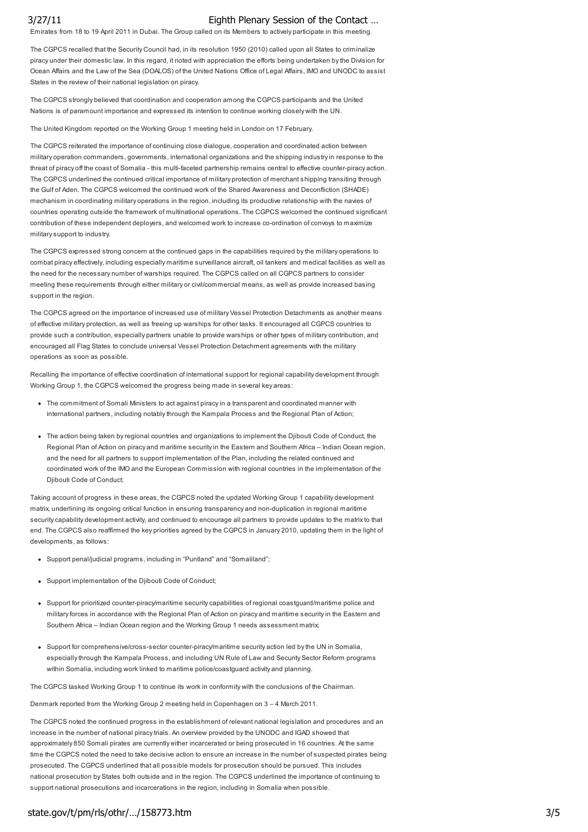Emirates from 18 to 19 April 2011 in Dubai. The Group called on its Members to actively participate in this meeting.

The CGPCS recalled that the Security Council had, in its resolution 1950 (2010) called upon all States to criminalize piracy under their domestic law. In this regard, it noted with appreciation the efforts being undertaken by the Division for Ocean Affairs and the Law of the Sea (DOALOS) of the United Nations Office of Legal Affairs, IMO and UNODC to assist States in the review of their national legislation on piracy.

The CGPCS strongly believed that coordination and cooperation among the CGPCS participants and the United Nations is of paramount importance and expressed its intention to continue working closely with the UN.

The United Kingdom reported on the Working Group 1 meeting held in London on 17 February.

The CGPCS reiterated the importance of continuing close dialogue, cooperation and coordinated action between military operation commanders, governments, international organizations and the shipping industry in response to the threat of piracy off the coast of Somalia - this multi-faceted partnership remains central to effective counter-piracy action. The CGPCS underlined the continued critical importance of military protection of merchant shipping transiting through the Gulf of Aden. The CGPCS welcomed the continued work of the Shared Awareness and Deconfliction (SHADE) mechanism in coordinating military operations in the region, including its productive relationship with the navies of countries operating outside the framework of multinational operations. The CGPCS welcomed the continued significant contribution of these independent deployers, and welcomed work to increase co-ordination of convoys to maximize military support to industry.

The CGPCS expressed strong concern at the continued gaps in the capabilities required by the military operations to combat piracy effectively, including especially maritime surveillance aircraft, oil tankers and medical facilities as well as the need for the necessary number of warships required. The CGPCS called on all CGPCS partners to consider meeting these requirements through either military or civil/commercial means, as well as provide increased basing support in the region.

The CGPCS agreed on the importance of increased use of military Vessel Protection Detachments as another means of effective military protection, as well as freeing up warships for other tasks. It encouraged all CGPCS countries to provide such a contribution, especially partners unable to provide warships or other types of military contribution, and encouraged all Flag States to conclude universal Vessel Protection Detachment agreements with the military operations as soon as possible.

Recalling the importance of effective coordination of international support for regional capability development through Working Group 1, the CGPCS welcomed the progress being made in several key areas:

- The commitment of Somali Ministers to act against piracy in a transparent and coordinated manner with international partners, including notably through the Kampala Process and the Regional Plan of Action;
- The action being taken by regional countries and organizations to implement the Djibouti Code of Conduct, the Regional Plan of Action on piracy and maritime security in the Eastern and Southern Africa – Indian Ocean region, and the need for all partners to support implementation of the Plan, including the related continued and coordinated work of the IMO and the European Commission with regional countries in the implementation of the Djibouti Code of Conduct;

Taking account of progress in these areas, the CGPCS noted the updated Working Group 1 capability development matrix, underlining its ongoing critical function in ensuring transparency and non-duplication in regional maritime security capability development activity, and continued to encourage all partners to provide updates to the matrix to that end. The CGPCS also reaffirmed the key priorities agreed by the CGPCS in January 2010, updating them in the light of developments, as follows:

- Support penal/judicial programs, including in "Puntland" and "Somaliland";
- Support implementation of the Djibouti Code of Conduct;
- Support for prioritized counter-piracy/maritime security capabilities of regional coastguard/maritime police and military forces in accordance with the Regional Plan of Action on piracy and maritime security in the Eastern and Southern Africa – Indian Ocean region and the Working Group 1 needs assessment matrix;
- Support for comprehensive/cross-sector counter-piracy/maritime security action led by the UN in Somalia. especially through the Kampala Process, and including UN Rule of Law and Security Sector Reform programs within Somalia, including work linked to maritime police/coastguard activity and planning.

The CGPCS tasked Working Group 1 to continue its work in conformity with the conclusions of the Chairman.

Denmark reported from the Working Group 2 meeting held in Copenhagen on 3 – 4 March 2011.

The CGPCS noted the continued progress in the establishment of relevant national legislation and procedures and an increase in the number of national piracy trials. An overview provided by the UNODC and IGAD showed that approximately 850 Somali pirates are currently either incarcerated or being prosecuted in 16 countries. At the same time the CGPCS noted the need to take decisive action to ensure an increase in the number of suspected pirates being prosecuted. The CGPCS underlined that all possible models for prosecution should be pursued. This includes national prosecution by States both outside and in the region. The CGPCS underlined the importance of continuing to support national prosecutions and incarcerations in the region, including in Somalia when possible.

### state.gov/t/pm/rls/othr/.../158773.htm 3/5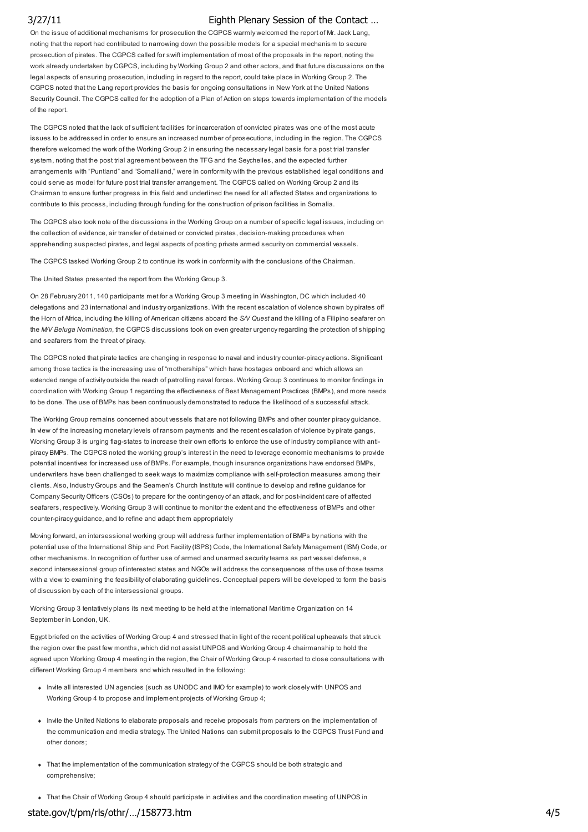On the issue of additional mechanisms for prosecution the CGPCS warmly welcomed the report of Mr. Jack Lang, noting that the report had contributed to narrowing down the possible models for a special mechanism to secure prosecution of pirates. The CGPCS called for swift implementation of most of the proposals in the report, noting the work already undertaken by CGPCS, including by Working Group 2 and other actors, and that future discussions on the legal aspects of ensuring prosecution, including in regard to the report, could take place in Working Group 2. The CGPCS noted that the Lang report provides the basis for ongoing consultations in New York at the United Nations Security Council. The CGPCS called for the adoption of a Plan of Action on steps towards implementation of the models of the report.

The CGPCS noted that the lack of sufficient facilities for incarceration of convicted pirates was one of the most acute issues to be addressed in order to ensure an increased number of prosecutions, including in the region. The CGPCS therefore welcomed the work of the Working Group 2 in ensuring the necessary legal basis for a post trial transfer system, noting that the post trial agreement between the TFG and the Seychelles, and the expected further arrangements with "Puntland" and "Somaliland," were in conformity with the previous established legal conditions and could serve as model for future post trial transfer arrangement. The CGPCS called on Working Group 2 and its Chairman to ensure further progress in this field and underlined the need for all affected States and organizations to contribute to this process, including through funding for the construction of prison facilities in Somalia.

The CGPCS also took note of the discussions in the Working Group on a number of specific legal issues, including on the collection of evidence, air transfer of detained or convicted pirates, decision-making procedures when apprehending suspected pirates, and legal aspects of posting private armed security on commercial vessels.

The CGPCS tasked Working Group 2 to continue its work in conformity with the conclusions of the Chairman.

The United States presented the report from the Working Group 3.

On 28 February 2011, 140 participants met for a Working Group 3 meeting in Washington, DC which included 40 delegations and 23 international and industry organizations. With the recent escalation of violence shown by pirates off the Horn of Africa, including the killing of American citizens aboard the *S/V Quest* and the killing of a Filipino seafarer on the *M/V Beluga Nomination*, the CGPCS discussions took on even greater urgency regarding the protection of shipping and seafarers from the threat of piracy.

The CGPCS noted that pirate tactics are changing in response to naval and industry counter-piracy actions. Significant among those tactics is the increasing use of "motherships" which have hostages onboard and which allows an extended range of activity outside the reach of patrolling naval forces. Working Group 3 continues to monitor findings in coordination with Working Group 1 regarding the effectiveness of Best Management Practices (BMPs), and more needs to be done. The use of BMPs has been continuously demonstrated to reduce the likelihood of a successful attack.

The Working Group remains concerned about vessels that are not following BMPs and other counter piracy guidance. In view of the increasing monetary levels of ransom payments and the recent escalation of violence by pirate gangs, Working Group 3 is urging flag-states to increase their own efforts to enforce the use of industry compliance with antipiracy BMPs. The CGPCS noted the working group's interest in the need to leverage economic mechanisms to provide potential incentives for increased use of BMPs. For example, though insurance organizations have endorsed BMPs, underwriters have been challenged to seek ways to maximize compliance with self-protection measures among their clients. Also, Industry Groups and the Seamen's Church Institute will continue to develop and refine guidance for Company Security Officers (CSOs) to prepare for the contingency of an attack, and for post-incident care of affected seafarers, respectively. Working Group 3 will continue to monitor the extent and the effectiveness of BMPs and other counter-piracy guidance, and to refine and adapt them appropriately

Moving forward, an intersessional working group will address further implementation of BMPs by nations with the potential use of the International Ship and Port Facility (ISPS) Code, the International Safety Management (ISM) Code, or other mechanisms. In recognition of further use of armed and unarmed security teams as part vessel defense, a second intersessional group of interested states and NGOs will address the consequences of the use of those teams with a view to examining the feasibility of elaborating quidelines. Conceptual papers will be developed to form the basis of discussion by each of the intersessional groups.

Working Group 3 tentatively plans its next meeting to be held at the International Maritime Organization on 14 September in London, UK.

Egypt briefed on the activities of Working Group 4 and stressed that in light of the recent political upheavals that struck the region over the past few months, which did not assist UNPOS and Working Group 4 chairmanship to hold the agreed upon Working Group 4 meeting in the region, the Chair of Working Group 4 resorted to close consultations with different Working Group 4 members and which resulted in the following:

- Invite all interested UN agencies (such as UNODC and IMO for example) to work closely with UNPOS and Working Group 4 to propose and implement projects of Working Group 4;
- Invite the United Nations to elaborate proposals and receive proposals from partners on the implementation of the communication and media strategy. The United Nations can submit proposals to the CGPCS Trust Fund and other donors;
- That the implementation of the communication strategy of the CGPCS should be both strategic and comprehensive;
- That the Chair of Working Group 4 should participate in activities and the coordination meeting of UNPOS in

### state.gov/t/pm/rls/othr/…/158773.htm 4/5